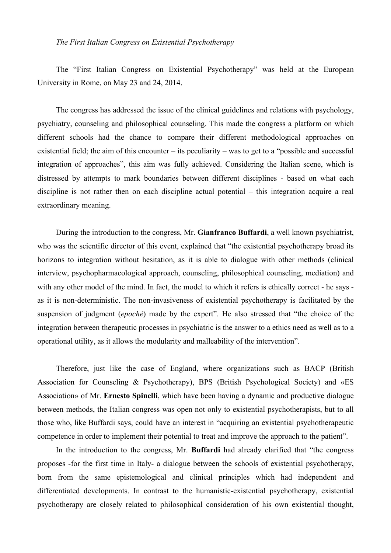## *The First Italian Congress on Existential Psychotherapy*

The "First Italian Congress on Existential Psychotherapy" was held at the European University in Rome, on May 23 and 24, 2014.

The congress has addressed the issue of the clinical guidelines and relations with psychology, psychiatry, counseling and philosophical counseling. This made the congress a platform on which different schools had the chance to compare their different methodological approaches on existential field; the aim of this encounter – its peculiarity – was to get to a "possible and successful integration of approaches", this aim was fully achieved. Considering the Italian scene, which is distressed by attempts to mark boundaries between different disciplines - based on what each discipline is not rather then on each discipline actual potential – this integration acquire a real extraordinary meaning.

During the introduction to the congress, Mr. **Gianfranco Buffardi**, a well known psychiatrist, who was the scientific director of this event, explained that "the existential psychotherapy broad its horizons to integration without hesitation, as it is able to dialogue with other methods (clinical interview, psychopharmacological approach, counseling, philosophical counseling, mediation) and with any other model of the mind. In fact, the model to which it refers is ethically correct - he says as it is non-deterministic. The non-invasiveness of existential psychotherapy is facilitated by the suspension of judgment (*epoché*) made by the expert". He also stressed that "the choice of the integration between therapeutic processes in psychiatric is the answer to a ethics need as well as to a operational utility, as it allows the modularity and malleability of the intervention".

Therefore, just like the case of England, where organizations such as BACP (British Association for Counseling & Psychotherapy), BPS (British Psychological Society) and «ES Association» of Mr. **Ernesto Spinelli**, which have been having a dynamic and productive dialogue between methods, the Italian congress was open not only to existential psychotherapists, but to all those who, like Buffardi says, could have an interest in "acquiring an existential psychotherapeutic competence in order to implement their potential to treat and improve the approach to the patient".

In the introduction to the congress, Mr. **Buffardi** had already clarified that "the congress proposes -for the first time in Italy- a dialogue between the schools of existential psychotherapy, born from the same epistemological and clinical principles which had independent and differentiated developments. In contrast to the humanistic-existential psychotherapy, existential psychotherapy are closely related to philosophical consideration of his own existential thought,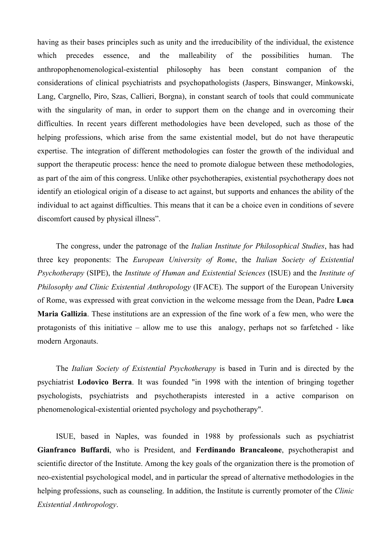having as their bases principles such as unity and the irreducibility of the individual, the existence which precedes essence, and the malleability of the possibilities human. The anthropophenomenological-existential philosophy has been constant companion of the considerations of clinical psychiatrists and psychopathologists (Jaspers, Binswanger, Minkowski, Lang, Cargnello, Piro, Szas, Callieri, Borgna), in constant search of tools that could communicate with the singularity of man, in order to support them on the change and in overcoming their difficulties. In recent years different methodologies have been developed, such as those of the helping professions, which arise from the same existential model, but do not have therapeutic expertise. The integration of different methodologies can foster the growth of the individual and support the therapeutic process: hence the need to promote dialogue between these methodologies, as part of the aim of this congress. Unlike other psychotherapies, existential psychotherapy does not identify an etiological origin of a disease to act against, but supports and enhances the ability of the individual to act against difficulties. This means that it can be a choice even in conditions of severe discomfort caused by physical illness".

The congress, under the patronage of the *Italian Institute for Philosophical Studies*, has had three key proponents: The *European University of Rome*, the *Italian Society of Existential Psychotherapy* (SIPE), the *Institute of Human and Existential Sciences* (ISUE) and the *Institute of Philosophy and Clinic Existential Anthropology* (IFACE). The support of the European University of Rome, was expressed with great conviction in the welcome message from the Dean, Padre **Luca Maria Gallizia**. These institutions are an expression of the fine work of a few men, who were the protagonists of this initiative – allow me to use this analogy, perhaps not so farfetched - like modern Argonauts.

The *Italian Society of Existential Psychotherapy* is based in Turin and is directed by the psychiatrist **Lodovico Berra**. It was founded "in 1998 with the intention of bringing together psychologists, psychiatrists and psychotherapists interested in a active comparison on phenomenological-existential oriented psychology and psychotherapy".

ISUE, based in Naples, was founded in 1988 by professionals such as psychiatrist **Gianfranco Buffardi**, who is President, and **Ferdinando Brancaleone**, psychotherapist and scientific director of the Institute. Among the key goals of the organization there is the promotion of neo-existential psychological model, and in particular the spread of alternative methodologies in the helping professions, such as counseling. In addition, the Institute is currently promoter of the *Clinic Existential Anthropology*.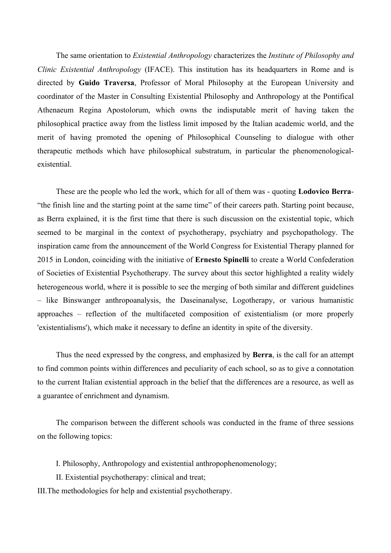The same orientation to *Existential Anthropology* characterizes the *Institute of Philosophy and Clinic Existential Anthropology* (IFACE). This institution has its headquarters in Rome and is directed by **Guido Traversa**, Professor of Moral Philosophy at the European University and coordinator of the Master in Consulting Existential Philosophy and Anthropology at the Pontifical Athenaeum Regina Apostolorum, which owns the indisputable merit of having taken the philosophical practice away from the listless limit imposed by the Italian academic world, and the merit of having promoted the opening of Philosophical Counseling to dialogue with other therapeutic methods which have philosophical substratum, in particular the phenomenologicalexistential.

These are the people who led the work, which for all of them was - quoting **Lodovico Berra**- "the finish line and the starting point at the same time" of their careers path. Starting point because, as Berra explained, it is the first time that there is such discussion on the existential topic, which seemed to be marginal in the context of psychotherapy, psychiatry and psychopathology. The inspiration came from the announcement of the World Congress for Existential Therapy planned for 2015 in London, coinciding with the initiative of **Ernesto Spinelli** to create a World Confederation of Societies of Existential Psychotherapy. The survey about this sector highlighted a reality widely heterogeneous world, where it is possible to see the merging of both similar and different guidelines – like Binswanger anthropoanalysis, the Daseinanalyse, Logotherapy, or various humanistic approaches – reflection of the multifaceted composition of existentialism (or more properly 'existentialisms'), which make it necessary to define an identity in spite of the diversity.

Thus the need expressed by the congress, and emphasized by **Berra**, is the call for an attempt to find common points within differences and peculiarity of each school, so as to give a connotation to the current Italian existential approach in the belief that the differences are a resource, as well as a guarantee of enrichment and dynamism.

The comparison between the different schools was conducted in the frame of three sessions on the following topics:

I. Philosophy, Anthropology and existential anthropophenomenology;

II. Existential psychotherapy: clinical and treat;

III.The methodologies for help and existential psychotherapy.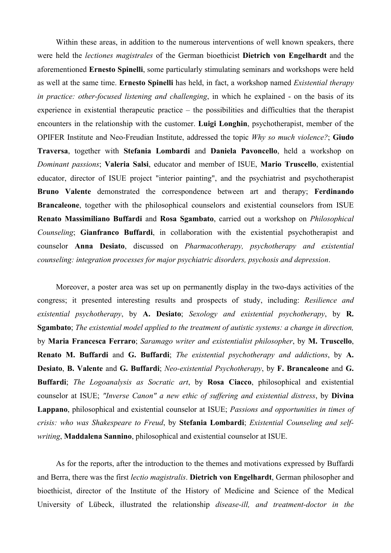Within these areas, in addition to the numerous interventions of well known speakers, there were held the *lectiones magistrales* of the German bioethicist **Dietrich von Engelhardt** and the aforementioned **Ernesto Spinelli**, some particularly stimulating seminars and workshops were held as well at the same time. **Ernesto Spinelli** has held, in fact, a workshop named *Existential therapy in practice: other-focused listening and challenging*, in which he explained - on the basis of its experience in existential therapeutic practice – the possibilities and difficulties that the therapist encounters in the relationship with the customer. **Luigi Longhin**, psychotherapist, member of the OPIFER Institute and Neo-Freudian Institute, addressed the topic *Why so much violence?*; **Giudo Traversa**, together with **Stefania Lombardi** and **Daniela Pavoncello**, held a workshop on *Dominant passions*; **Valeria Salsi**, educator and member of ISUE, **Mario Truscello**, existential educator, director of ISUE project "interior painting", and the psychiatrist and psychotherapist **Bruno Valente** demonstrated the correspondence between art and therapy; **Ferdinando Brancaleone**, together with the philosophical counselors and existential counselors from ISUE **Renato Massimiliano Buffardi** and **Rosa Sgambato**, carried out a workshop on *Philosophical Counseling*; **Gianfranco Buffardi**, in collaboration with the existential psychotherapist and counselor **Anna Desiato**, discussed on *Pharmacotherapy, psychotherapy and existential counseling: integration processes for major psychiatric disorders, psychosis and depression*.

Moreover, a poster area was set up on permanently display in the two-days activities of the congress; it presented interesting results and prospects of study, including: *Resilience and existential psychotherapy*, by **A. Desiato**; *Sexology and existential psychotherapy*, by **R. Sgambato**; *The existential model applied to the treatment of autistic systems: a change in direction,*  by **Maria Francesca Ferraro**; *Saramago writer and existentialist philosopher*, by **M. Truscello**, **Renato M. Buffardi** and **G. Buffardi**; *The existential psychotherapy and addictions*, by **A. Desiato**, **B. Valente** and **G. Buffardi**; *Neo-existential Psychotherapy*, by **F. Brancaleone** and **G. Buffardi**; *The Logoanalysis as Socratic art*, by **Rosa Ciacco**, philosophical and existential counselor at ISUE; *"Inverse Canon" a new ethic of suffering and existential distress*, by **Divina Lappano**, philosophical and existential counselor at ISUE; *Passions and opportunities in times of crisis: who was Shakespeare to Freud*, by **Stefania Lombardi**; *Existential Counseling and selfwriting*, **Maddalena Sannino**, philosophical and existential counselor at ISUE.

As for the reports, after the introduction to the themes and motivations expressed by Buffardi and Berra, there was the first *lectio magistralis*. **Dietrich von Engelhardt**, German philosopher and bioethicist, director of the Institute of the History of Medicine and Science of the Medical University of Lübeck, illustrated the relationship *disease-ill, and treatment-doctor in the*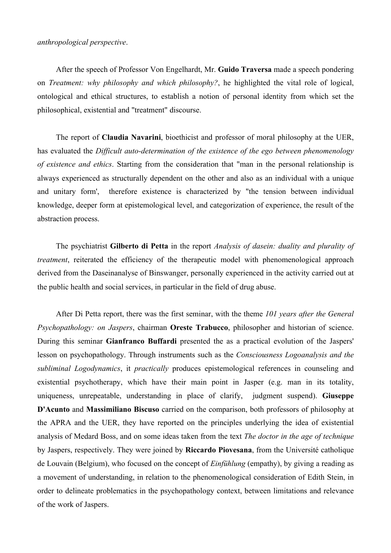After the speech of Professor Von Engelhardt, Mr. **Guido Traversa** made a speech pondering on *Treatment: why philosophy and which philosophy?*, he highlighted the vital role of logical, ontological and ethical structures, to establish a notion of personal identity from which set the philosophical, existential and "treatment" discourse.

The report of **Claudia Navarini**, bioethicist and professor of moral philosophy at the UER, has evaluated the *Difficult auto-determination of the existence of the ego between phenomenology of existence and ethics*. Starting from the consideration that "man in the personal relationship is always experienced as structurally dependent on the other and also as an individual with a unique and unitary form', therefore existence is characterized by "the tension between individual knowledge, deeper form at epistemological level, and categorization of experience, the result of the abstraction process.

The psychiatrist **Gilberto di Petta** in the report *Analysis of dasein: duality and plurality of treatment*, reiterated the efficiency of the therapeutic model with phenomenological approach derived from the Daseinanalyse of Binswanger, personally experienced in the activity carried out at the public health and social services, in particular in the field of drug abuse.

After Di Petta report, there was the first seminar, with the theme *101 years after the General Psychopathology: on Jaspers*, chairman **Oreste Trabucco**, philosopher and historian of science. During this seminar **Gianfranco Buffardi** presented the as a practical evolution of the Jaspers' lesson on psychopathology. Through instruments such as the *Consciousness Logoanalysis and the subliminal Logodynamics*, it *practically* produces epistemological references in counseling and existential psychotherapy, which have their main point in Jasper (e.g. man in its totality, uniqueness, unrepeatable, understanding in place of clarify, judgment suspend). **Giuseppe D'Acunto** and **Massimiliano Biscuso** carried on the comparison, both professors of philosophy at the APRA and the UER, they have reported on the principles underlying the idea of existential analysis of Medard Boss, and on some ideas taken from the text *The doctor in the age of technique*  by Jaspers, respectively. They were joined by **Riccardo Piovesana**, from the Université catholique de Louvain (Belgium), who focused on the concept of *Einfühlung* (empathy), by giving a reading as a movement of understanding, in relation to the phenomenological consideration of Edith Stein, in order to delineate problematics in the psychopathology context, between limitations and relevance of the work of Jaspers.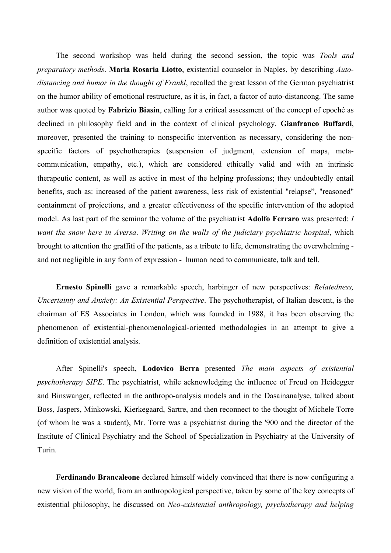The second workshop was held during the second session, the topic was *Tools and preparatory methods*. **Maria Rosaria Liotto**, existential counselor in Naples, by describing *Autodistancing and humor in the thought of Frankl*, recalled the great lesson of the German psychiatrist on the humor ability of emotional restructure, as it is, in fact, a factor of auto-distancong. The same author was quoted by **Fabrizio Biasin**, calling for a critical assessment of the concept of epoché as declined in philosophy field and in the context of clinical psychology. **Gianfranco Buffardi**, moreover, presented the training to nonspecific intervention as necessary, considering the nonspecific factors of psychotherapies (suspension of judgment, extension of maps, metacommunication, empathy, etc.), which are considered ethically valid and with an intrinsic therapeutic content, as well as active in most of the helping professions; they undoubtedly entail benefits, such as: increased of the patient awareness, less risk of existential "relapse", "reasoned" containment of projections, and a greater effectiveness of the specific intervention of the adopted model. As last part of the seminar the volume of the psychiatrist **Adolfo Ferraro** was presented: *I want the snow here in Aversa*. *Writing on the walls of the judiciary psychiatric hospital*, which brought to attention the graffiti of the patients, as a tribute to life, demonstrating the overwhelming and not negligible in any form of expression - human need to communicate, talk and tell.

**Ernesto Spinelli** gave a remarkable speech, harbinger of new perspectives: *Relatedness, Uncertainty and Anxiety: An Existential Perspective*. The psychotherapist, of Italian descent, is the chairman of ES Associates in London, which was founded in 1988, it has been observing the phenomenon of existential-phenomenological-oriented methodologies in an attempt to give a definition of existential analysis.

After Spinelli's speech, **Lodovico Berra** presented *The main aspects of existential psychotherapy SIPE*. The psychiatrist, while acknowledging the influence of Freud on Heidegger and Binswanger, reflected in the anthropo-analysis models and in the Dasainanalyse, talked about Boss, Jaspers, Minkowski, Kierkegaard, Sartre, and then reconnect to the thought of Michele Torre (of whom he was a student), Mr. Torre was a psychiatrist during the '900 and the director of the Institute of Clinical Psychiatry and the School of Specialization in Psychiatry at the University of Turin.

**Ferdinando Brancaleone** declared himself widely convinced that there is now configuring a new vision of the world, from an anthropological perspective, taken by some of the key concepts of existential philosophy, he discussed on *Neo-existential anthropology, psychotherapy and helping*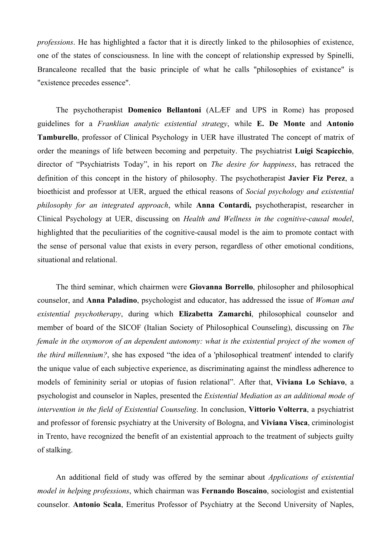*professions*. He has highlighted a factor that it is directly linked to the philosophies of existence, one of the states of consciousness. In line with the concept of relationship expressed by Spinelli, Brancaleone recalled that the basic principle of what he calls "philosophies of existance" is "existence precedes essence".

The psychotherapist **Domenico Bellantoni** (ALÆF and UPS in Rome) has proposed guidelines for a *Franklian analytic existential strategy*, while **E. De Monte** and **Antonio Tamburello**, professor of Clinical Psychology in UER have illustrated The concept of matrix of order the meanings of life between becoming and perpetuity. The psychiatrist **Luigi Scapicchio**, director of "Psychiatrists Today", in his report on *The desire for happiness*, has retraced the definition of this concept in the history of philosophy. The psychotherapist **Javier Fiz Perez**, a bioethicist and professor at UER, argued the ethical reasons of *Social psychology and existential philosophy for an integrated approach*, while **Anna Contardi,** psychotherapist, researcher in Clinical Psychology at UER, discussing on *Health and Wellness in the cognitive-causal model*, highlighted that the peculiarities of the cognitive-causal model is the aim to promote contact with the sense of personal value that exists in every person, regardless of other emotional conditions, situational and relational.

The third seminar, which chairmen were **Giovanna Borrello**, philosopher and philosophical counselor, and **Anna Paladino**, psychologist and educator, has addressed the issue of *Woman and existential psychotherapy*, during which **Elizabetta Zamarchi**, philosophical counselor and member of board of the SICOF (Italian Society of Philosophical Counseling), discussing on *The female in the oxymoron of an dependent autonomy: what is the existential project of the women of the third millennium?*, she has exposed "the idea of a 'philosophical treatment' intended to clarify the unique value of each subjective experience, as discriminating against the mindless adherence to models of femininity serial or utopias of fusion relational". After that, **Viviana Lo Schiavo**, a psychologist and counselor in Naples, presented the *Existential Mediation as an additional mode of intervention in the field of Existential Counseling*. In conclusion, **Vittorio Volterra**, a psychiatrist and professor of forensic psychiatry at the University of Bologna, and **Viviana Visca**, criminologist in Trento, have recognized the benefit of an existential approach to the treatment of subjects guilty of stalking.

An additional field of study was offered by the seminar about *Applications of existential model in helping professions*, which chairman was **Fernando Boscaino**, sociologist and existential counselor. **Antonio Scala**, Emeritus Professor of Psychiatry at the Second University of Naples,